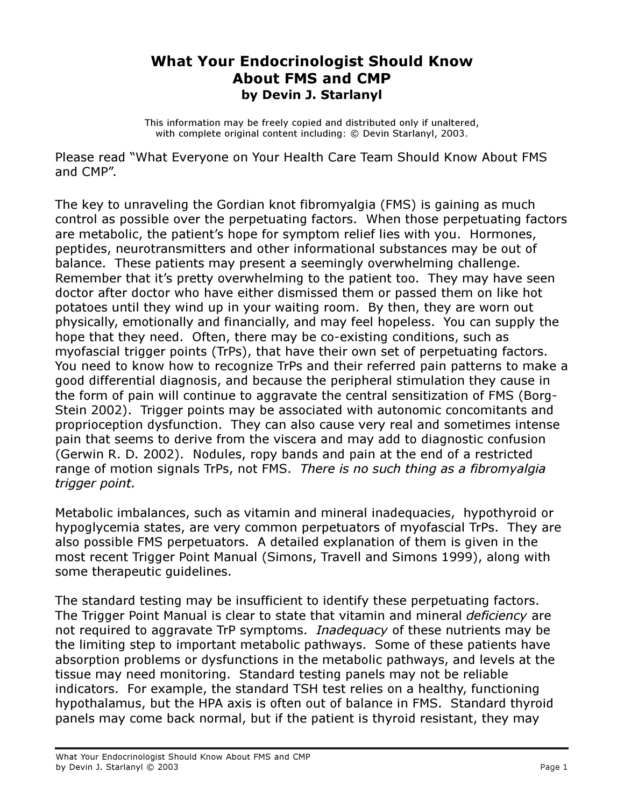## What Your Endocrinologist Should Know About FMS and CMP by Devin J. Starlanyl

This information may be freely copied and distributed only if unaltered, with complete original content including: © Devin Starlanyl, 2003.

Please read "What Everyone on Your Health Care Team Should Know About FMS and CMP".

The key to unraveling the Gordian knot fibromyalgia (FMS) is gaining as much control as possible over the perpetuating factors. When those perpetuating factors are metabolic, the patient's hope for symptom relief lies with you. Hormones, peptides, neurotransmitters and other informational substances may be out of balance. These patients may present a seemingly overwhelming challenge. Remember that it's pretty overwhelming to the patient too. They may have seen doctor after doctor who have either dismissed them or passed them on like hot potatoes until they wind up in your waiting room. By then, they are worn out physically, emotionally and financially, and may feel hopeless. You can supply the hope that they need. Often, there may be co-existing conditions, such as myofascial trigger points (TrPs), that have their own set of perpetuating factors. You need to know how to recognize TrPs and their referred pain patterns to make a good differential diagnosis, and because the peripheral stimulation they cause in the form of pain will continue to aggravate the central sensitization of FMS (Borg-Stein 2002). Trigger points may be associated with autonomic concomitants and proprioception dysfunction. They can also cause very real and sometimes intense pain that seems to derive from the viscera and may add to diagnostic confusion (Gerwin R. D. 2002). Nodules, ropy bands and pain at the end of a restricted range of motion signals TrPs, not FMS. There is no such thing as a fibromyalgia trigger point.

Metabolic imbalances, such as vitamin and mineral inadequacies, hypothyroid or hypoglycemia states, are very common perpetuators of myofascial TrPs. They are also possible FMS perpetuators. A detailed explanation of them is given in the most recent Trigger Point Manual (Simons, Travell and Simons 1999), along with some therapeutic guidelines.

The standard testing may be insufficient to identify these perpetuating factors. The Trigger Point Manual is clear to state that vitamin and mineral *deficiency* are not required to aggravate TrP symptoms. Inadequacy of these nutrients may be the limiting step to important metabolic pathways. Some of these patients have absorption problems or dysfunctions in the metabolic pathways, and levels at the tissue may need monitoring. Standard testing panels may not be reliable indicators. For example, the standard TSH test relies on a healthy, functioning hypothalamus, but the HPA axis is often out of balance in FMS. Standard thyroid panels may come back normal, but if the patient is thyroid resistant, they may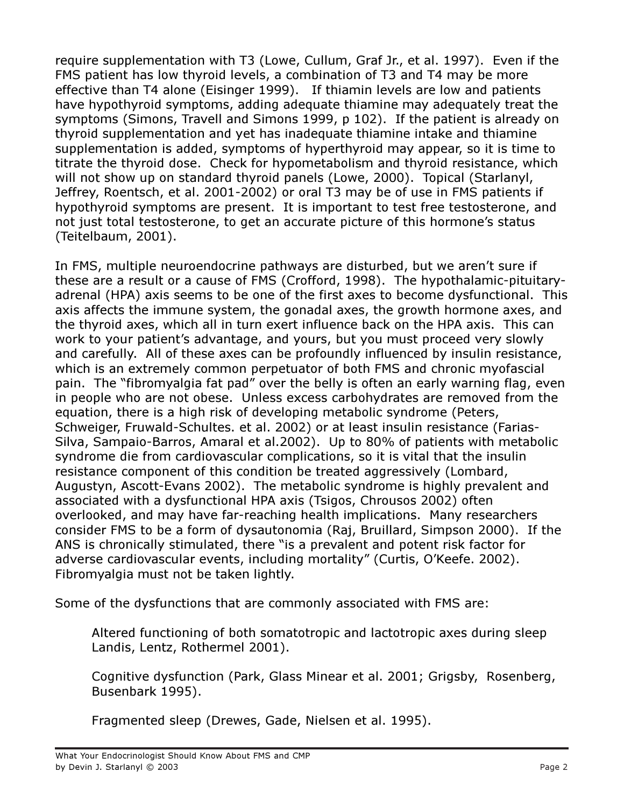require supplementation with T3 (Lowe, Cullum, Graf Jr., et al. 1997). Even if the FMS patient has low thyroid levels, a combination of T3 and T4 may be more effective than T4 alone (Eisinger 1999). If thiamin levels are low and patients have hypothyroid symptoms, adding adequate thiamine may adequately treat the symptoms (Simons, Travell and Simons 1999, p 102). If the patient is already on thyroid supplementation and yet has inadequate thiamine intake and thiamine supplementation is added, symptoms of hyperthyroid may appear, so it is time to titrate the thyroid dose. Check for hypometabolism and thyroid resistance, which will not show up on standard thyroid panels (Lowe, 2000). Topical (Starlanyl, Jeffrey, Roentsch, et al. 2001-2002) or oral T3 may be of use in FMS patients if hypothyroid symptoms are present. It is important to test free testosterone, and not just total testosterone, to get an accurate picture of this hormone's status (Teitelbaum, 2001).

In FMS, multiple neuroendocrine pathways are disturbed, but we aren't sure if these are a result or a cause of FMS (Crofford, 1998). The hypothalamic-pituitaryadrenal (HPA) axis seems to be one of the first axes to become dysfunctional. This axis affects the immune system, the gonadal axes, the growth hormone axes, and the thyroid axes, which all in turn exert influence back on the HPA axis. This can work to your patient's advantage, and yours, but you must proceed very slowly and carefully. All of these axes can be profoundly influenced by insulin resistance, which is an extremely common perpetuator of both FMS and chronic myofascial pain. The "fibromyalgia fat pad" over the belly is often an early warning flag, even in people who are not obese. Unless excess carbohydrates are removed from the equation, there is a high risk of developing metabolic syndrome (Peters, Schweiger, Fruwald-Schultes. et al. 2002) or at least insulin resistance (Farias-Silva, Sampaio-Barros, Amaral et al.2002). Up to 80% of patients with metabolic syndrome die from cardiovascular complications, so it is vital that the insulin resistance component of this condition be treated aggressively (Lombard, Augustyn, Ascott-Evans 2002). The metabolic syndrome is highly prevalent and associated with a dysfunctional HPA axis (Tsigos, Chrousos 2002) often overlooked, and may have far-reaching health implications. Many researchers consider FMS to be a form of dysautonomia (Raj, Bruillard, Simpson 2000). If the ANS is chronically stimulated, there "is a prevalent and potent risk factor for adverse cardiovascular events, including mortality" (Curtis, O'Keefe. 2002). Fibromyalgia must not be taken lightly.

Some of the dysfunctions that are commonly associated with FMS are:

Altered functioning of both somatotropic and lactotropic axes during sleep Landis, Lentz, Rothermel 2001).

Cognitive dysfunction (Park, Glass Minear et al. 2001; Grigsby, Rosenberg, Busenbark 1995).

Fragmented sleep (Drewes, Gade, Nielsen et al. 1995).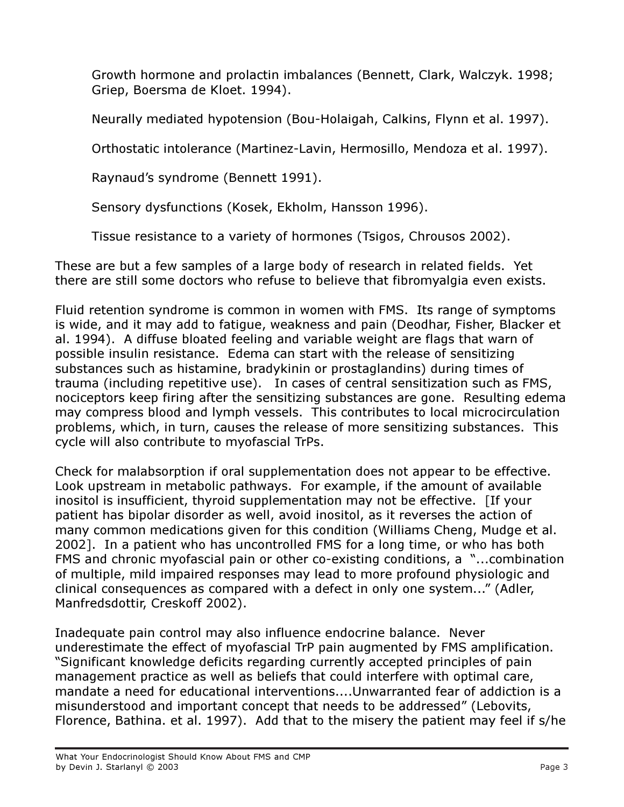Growth hormone and prolactin imbalances (Bennett, Clark, Walczyk. 1998; Griep, Boersma de Kloet. 1994).

Neurally mediated hypotension (Bou-Holaigah, Calkins, Flynn et al. 1997).

Orthostatic intolerance (Martinez-Lavin, Hermosillo, Mendoza et al. 1997).

Raynaud's syndrome (Bennett 1991).

Sensory dysfunctions (Kosek, Ekholm, Hansson 1996).

Tissue resistance to a variety of hormones (Tsigos, Chrousos 2002).

These are but a few samples of a large body of research in related fields. Yet there are still some doctors who refuse to believe that fibromyalgia even exists.

Fluid retention syndrome is common in women with FMS. Its range of symptoms is wide, and it may add to fatigue, weakness and pain (Deodhar, Fisher, Blacker et al. 1994). A diffuse bloated feeling and variable weight are flags that warn of possible insulin resistance. Edema can start with the release of sensitizing substances such as histamine, bradykinin or prostaglandins) during times of trauma (including repetitive use). In cases of central sensitization such as FMS, nociceptors keep firing after the sensitizing substances are gone. Resulting edema may compress blood and lymph vessels. This contributes to local microcirculation problems, which, in turn, causes the release of more sensitizing substances. This cycle will also contribute to myofascial TrPs.

Check for malabsorption if oral supplementation does not appear to be effective. Look upstream in metabolic pathways. For example, if the amount of available inositol is insufficient, thyroid supplementation may not be effective. [If your patient has bipolar disorder as well, avoid inositol, as it reverses the action of many common medications given for this condition (Williams Cheng, Mudge et al. 2002]. In a patient who has uncontrolled FMS for a long time, or who has both FMS and chronic myofascial pain or other co-existing conditions, a "...combination of multiple, mild impaired responses may lead to more profound physiologic and clinical consequences as compared with a defect in only one system..." (Adler, Manfredsdottir, Creskoff 2002).

Inadequate pain control may also influence endocrine balance. Never underestimate the effect of myofascial TrP pain augmented by FMS amplification. "Significant knowledge deficits regarding currently accepted principles of pain management practice as well as beliefs that could interfere with optimal care, mandate a need for educational interventions....Unwarranted fear of addiction is a misunderstood and important concept that needs to be addressed" (Lebovits, Florence, Bathina. et al. 1997). Add that to the misery the patient may feel if s/he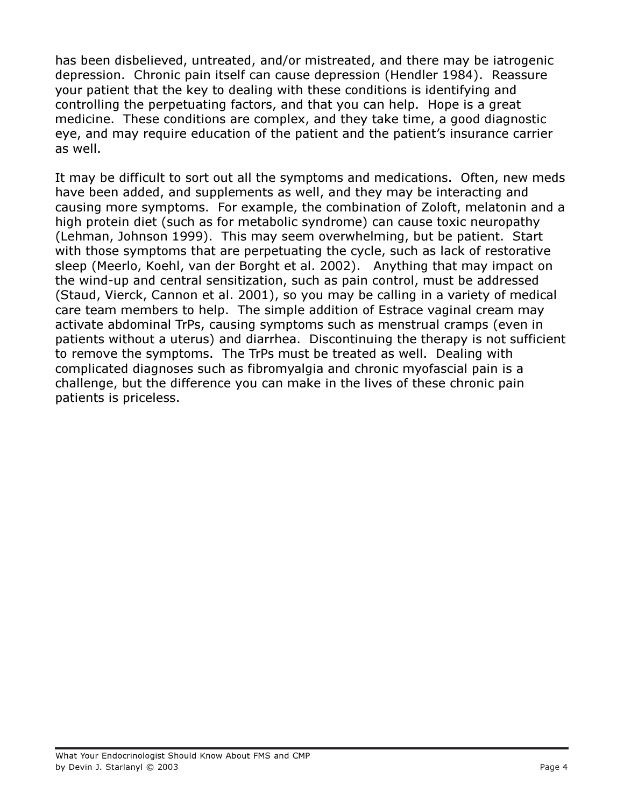has been disbelieved, untreated, and/or mistreated, and there may be iatrogenic depression. Chronic pain itself can cause depression (Hendler 1984). Reassure your patient that the key to dealing with these conditions is identifying and controlling the perpetuating factors, and that you can help. Hope is a great medicine. These conditions are complex, and they take time, a good diagnostic eye, and may require education of the patient and the patient's insurance carrier as well.

It may be difficult to sort out all the symptoms and medications. Often, new meds have been added, and supplements as well, and they may be interacting and causing more symptoms. For example, the combination of Zoloft, melatonin and a high protein diet (such as for metabolic syndrome) can cause toxic neuropathy (Lehman, Johnson 1999). This may seem overwhelming, but be patient. Start with those symptoms that are perpetuating the cycle, such as lack of restorative sleep (Meerlo, Koehl, van der Borght et al. 2002). Anything that may impact on the wind-up and central sensitization, such as pain control, must be addressed (Staud, Vierck, Cannon et al. 2001), so you may be calling in a variety of medical care team members to help. The simple addition of Estrace vaginal cream may activate abdominal TrPs, causing symptoms such as menstrual cramps (even in patients without a uterus) and diarrhea. Discontinuing the therapy is not sufficient to remove the symptoms. The TrPs must be treated as well. Dealing with complicated diagnoses such as fibromyalgia and chronic myofascial pain is a challenge, but the difference you can make in the lives of these chronic pain patients is priceless.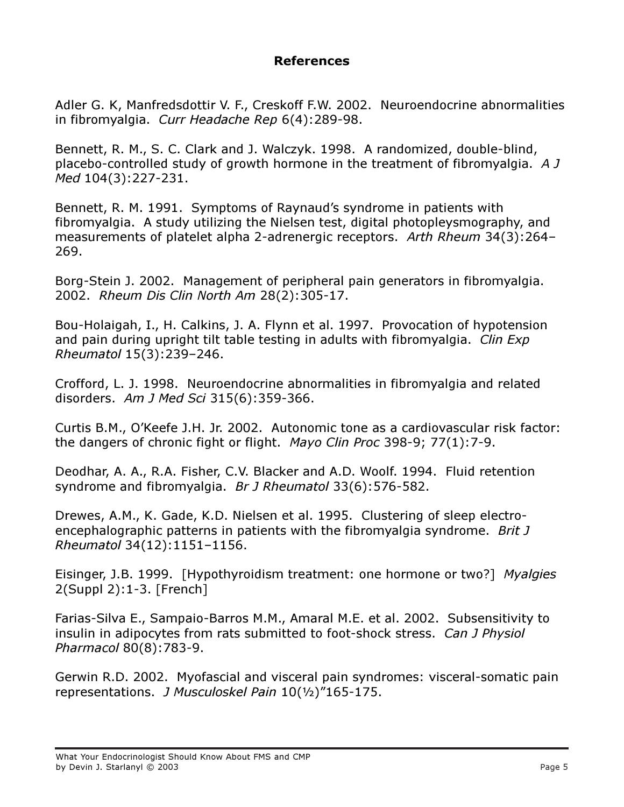## References

Adler G. K, Manfredsdottir V. F., Creskoff F.W. 2002. Neuroendocrine abnormalities in fibromyalgia. Curr Headache Rep 6(4):289-98.

Bennett, R. M., S. C. Clark and J. Walczyk. 1998. A randomized, double-blind, placebo-controlled study of growth hormone in the treatment of fibromyalgia. A J Med 104(3):227-231.

Bennett, R. M. 1991. Symptoms of Raynaud's syndrome in patients with fibromyalgia. A study utilizing the Nielsen test, digital photopleysmography, and measurements of platelet alpha 2-adrenergic receptors. Arth Rheum 34(3):264– 269.

Borg-Stein J. 2002. Management of peripheral pain generators in fibromyalgia. 2002. Rheum Dis Clin North Am 28(2):305-17.

Bou-Holaigah, I., H. Calkins, J. A. Flynn et al. 1997. Provocation of hypotension and pain during upright tilt table testing in adults with fibromyalgia. Clin Exp Rheumatol 15(3):239–246.

Crofford, L. J. 1998. Neuroendocrine abnormalities in fibromyalgia and related disorders. Am J Med Sci 315(6):359-366.

Curtis B.M., O'Keefe J.H. Jr. 2002. Autonomic tone as a cardiovascular risk factor: the dangers of chronic fight or flight. Mayo Clin Proc 398-9; 77(1):7-9.

Deodhar, A. A., R.A. Fisher, C.V. Blacker and A.D. Woolf. 1994. Fluid retention syndrome and fibromyalgia. Br J Rheumatol 33(6):576-582.

Drewes, A.M., K. Gade, K.D. Nielsen et al. 1995. Clustering of sleep electroencephalographic patterns in patients with the fibromyalgia syndrome. Brit J Rheumatol 34(12):1151–1156.

Eisinger, J.B. 1999. [Hypothyroidism treatment: one hormone or two?] Myalgies 2(Suppl 2):1-3. [French]

Farias-Silva E., Sampaio-Barros M.M., Amaral M.E. et al. 2002. Subsensitivity to insulin in adipocytes from rats submitted to foot-shock stress. Can J Physiol Pharmacol 80(8):783-9.

Gerwin R.D. 2002. Myofascial and visceral pain syndromes: visceral-somatic pain representations. J Musculoskel Pain 10(½)"165-175.

What Your Endocrinologist Should Know About FMS and CMP by Devin J. Starlanyl © 2003 Page 5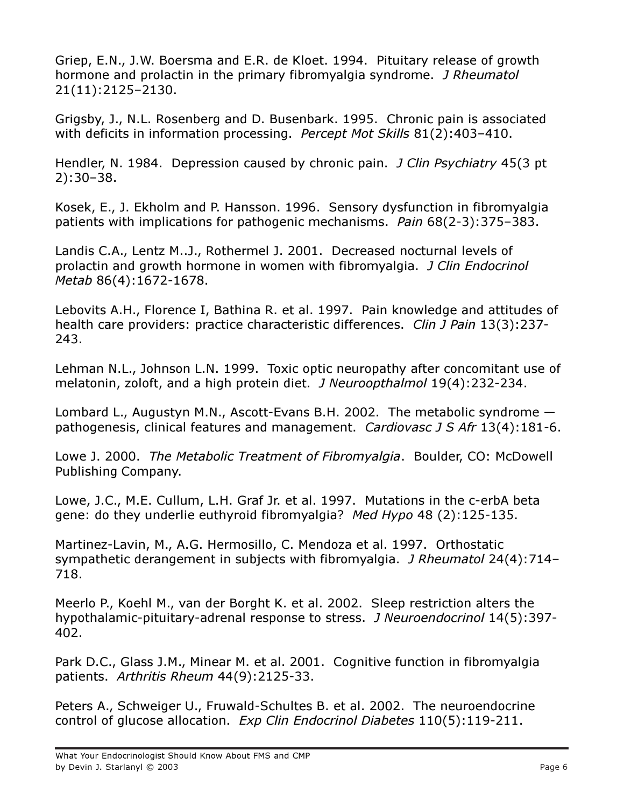Griep, E.N., J.W. Boersma and E.R. de Kloet. 1994. Pituitary release of growth hormone and prolactin in the primary fibromyalgia syndrome. J Rheumatol 21(11):2125–2130.

Grigsby, J., N.L. Rosenberg and D. Busenbark. 1995. Chronic pain is associated with deficits in information processing. Percept Mot Skills 81(2):403-410.

Hendler, N. 1984. Depression caused by chronic pain. *J Clin Psychiatry* 45(3 pt) 2):30–38.

Kosek, E., J. Ekholm and P. Hansson. 1996. Sensory dysfunction in fibromyalgia patients with implications for pathogenic mechanisms. Pain 68(2-3):375-383.

Landis C.A., Lentz M..J., Rothermel J. 2001. Decreased nocturnal levels of prolactin and growth hormone in women with fibromyalgia. J Clin Endocrinol Metab 86(4):1672-1678.

Lebovits A.H., Florence I, Bathina R. et al. 1997. Pain knowledge and attitudes of health care providers: practice characteristic differences. *Clin J Pain* 13(3):237-243.

Lehman N.L., Johnson L.N. 1999. Toxic optic neuropathy after concomitant use of melatonin, zoloft, and a high protein diet. *J Neuroopthalmol* 19(4):232-234.

Lombard L., Augustyn M.N., Ascott-Evans B.H. 2002. The metabolic syndrome pathogenesis, clinical features and management. Cardiovasc J S Afr 13(4):181-6.

Lowe J. 2000. The Metabolic Treatment of Fibromyalgia. Boulder, CO: McDowell Publishing Company.

Lowe, J.C., M.E. Cullum, L.H. Graf Jr. et al. 1997. Mutations in the c-erbA beta gene: do they underlie euthyroid fibromyalgia? Med Hypo 48 (2):125-135.

Martinez-Lavin, M., A.G. Hermosillo, C. Mendoza et al. 1997. Orthostatic sympathetic derangement in subjects with fibromyalgia. J Rheumatol 24(4):714– 718.

Meerlo P., Koehl M., van der Borght K. et al. 2002. Sleep restriction alters the hypothalamic-pituitary-adrenal response to stress. J Neuroendocrinol 14(5):397- 402.

Park D.C., Glass J.M., Minear M. et al. 2001. Cognitive function in fibromyalgia patients. Arthritis Rheum 44(9):2125-33.

Peters A., Schweiger U., Fruwald-Schultes B. et al. 2002. The neuroendocrine control of glucose allocation. Exp Clin Endocrinol Diabetes 110(5):119-211.